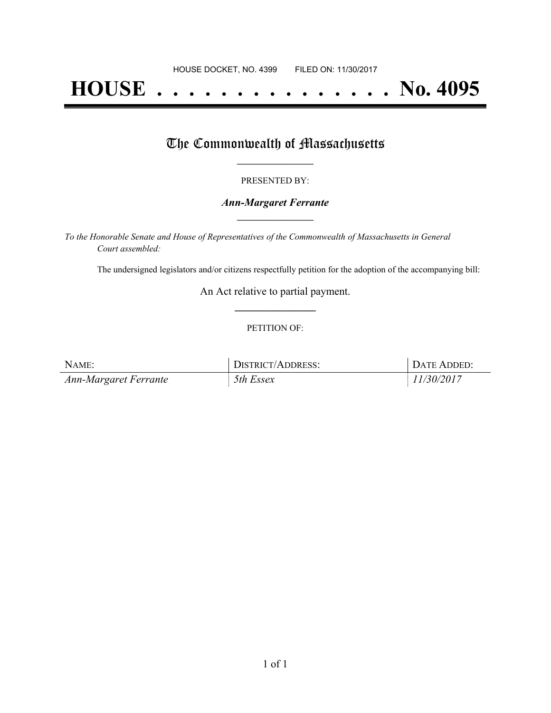# **HOUSE . . . . . . . . . . . . . . . No. 4095**

## The Commonwealth of Massachusetts

#### PRESENTED BY:

#### *Ann-Margaret Ferrante* **\_\_\_\_\_\_\_\_\_\_\_\_\_\_\_\_\_**

*To the Honorable Senate and House of Representatives of the Commonwealth of Massachusetts in General Court assembled:*

The undersigned legislators and/or citizens respectfully petition for the adoption of the accompanying bill:

An Act relative to partial payment. **\_\_\_\_\_\_\_\_\_\_\_\_\_\_\_**

#### PETITION OF:

| NAME:                 | DISTRICT/ADDRESS: | DATE ADDED: |
|-----------------------|-------------------|-------------|
| Ann-Margaret Ferrante | 5th Essex         | 11/30/2017  |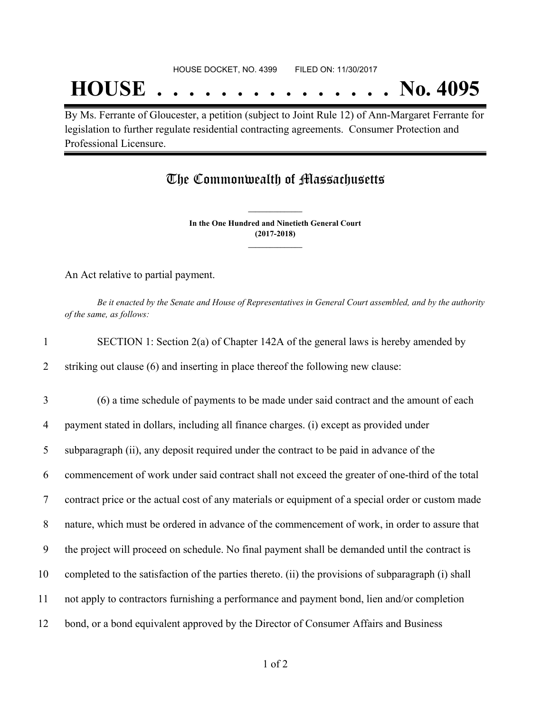## **HOUSE . . . . . . . . . . . . . . . No. 4095**

By Ms. Ferrante of Gloucester, a petition (subject to Joint Rule 12) of Ann-Margaret Ferrante for legislation to further regulate residential contracting agreements. Consumer Protection and Professional Licensure.

### The Commonwealth of Massachusetts

**In the One Hundred and Ninetieth General Court (2017-2018) \_\_\_\_\_\_\_\_\_\_\_\_\_\_\_**

**\_\_\_\_\_\_\_\_\_\_\_\_\_\_\_**

An Act relative to partial payment.

Be it enacted by the Senate and House of Representatives in General Court assembled, and by the authority *of the same, as follows:*

| $\mathbf{1}$   | SECTION 1: Section 2(a) of Chapter 142A of the general laws is hereby amended by                    |
|----------------|-----------------------------------------------------------------------------------------------------|
| 2              | striking out clause (6) and inserting in place thereof the following new clause:                    |
| 3              | (6) a time schedule of payments to be made under said contract and the amount of each               |
| 4              | payment stated in dollars, including all finance charges. (i) except as provided under              |
| 5              | subparagraph (ii), any deposit required under the contract to be paid in advance of the             |
| 6              | commencement of work under said contract shall not exceed the greater of one-third of the total     |
| $\overline{7}$ | contract price or the actual cost of any materials or equipment of a special order or custom made   |
| 8              | nature, which must be ordered in advance of the commencement of work, in order to assure that       |
| 9              | the project will proceed on schedule. No final payment shall be demanded until the contract is      |
| 10             | completed to the satisfaction of the parties thereto. (ii) the provisions of subparagraph (i) shall |
| 11             | not apply to contractors furnishing a performance and payment bond, lien and/or completion          |
| 12             | bond, or a bond equivalent approved by the Director of Consumer Affairs and Business                |